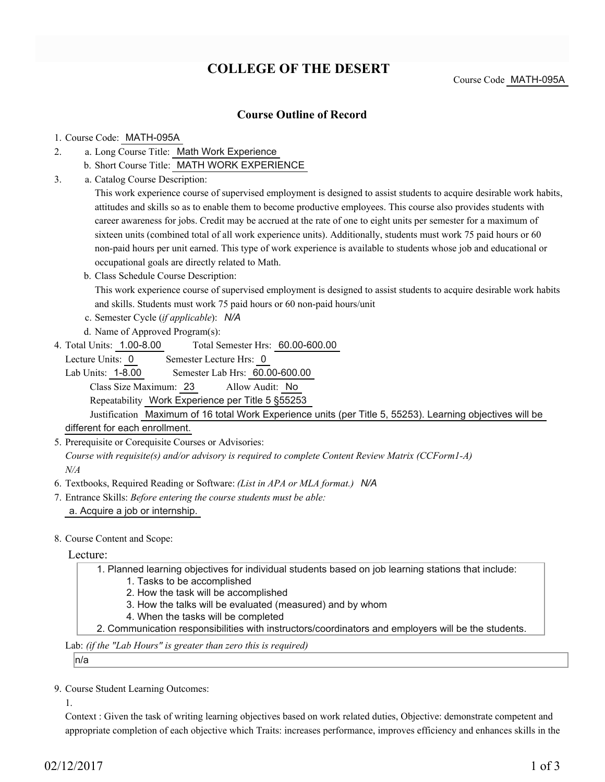## **COLLEGE OF THE DESERT**

Course Code MATH-095A

### **Course Outline of Record**

#### 1. Course Code: MATH-095A

- a. Long Course Title: Math Work Experience 2.
	- b. Short Course Title: MATH WORK EXPERIENCE
- Catalog Course Description: a. 3.

This work experience course of supervised employment is designed to assist students to acquire desirable work habits, attitudes and skills so as to enable them to become productive employees. This course also provides students with career awareness for jobs. Credit may be accrued at the rate of one to eight units per semester for a maximum of sixteen units (combined total of all work experience units). Additionally, students must work 75 paid hours or 60 non-paid hours per unit earned. This type of work experience is available to students whose job and educational or occupational goals are directly related to Math.

b. Class Schedule Course Description:

This work experience course of supervised employment is designed to assist students to acquire desirable work habits and skills. Students must work 75 paid hours or 60 non-paid hours/unit

- c. Semester Cycle (*if applicable*): *N/A*
- d. Name of Approved Program(s):
- Total Semester Hrs: 60.00-600.00 4. Total Units: 1.00-8.00

Lecture Units: 0 Semester Lecture Hrs: 0

Lab Units: 1-8.00 Semester Lab Hrs: 60.00-600.00 Class Size Maximum: 23 Allow Audit: No

Repeatability Work Experience per Title 5 §55253

Justification Maximum of 16 total Work Experience units (per Title 5, 55253). Learning objectives will be different for each enrollment.

5. Prerequisite or Corequisite Courses or Advisories:

*Course with requisite(s) and/or advisory is required to complete Content Review Matrix (CCForm1-A) N/A*

- 6. Textbooks, Required Reading or Software: *(List in APA or MLA format.) N/A*
- Entrance Skills: *Before entering the course students must be able:* 7. a. Acquire a job or internship.
- 8. Course Content and Scope:

Lecture:

Planned learning objectives for individual students based on job learning stations that include: 1. 1. Tasks to be accomplished

- 2. How the task will be accomplished
- 3. How the talks will be evaluated (measured) and by whom
- 4. When the tasks will be completed
- 2. Communication responsibilities with instructors/coordinators and employers will be the students.

Lab: *(if the "Lab Hours" is greater than zero this is required)*

n/a

9. Course Student Learning Outcomes:

1.

Context : Given the task of writing learning objectives based on work related duties, Objective: demonstrate competent and appropriate completion of each objective which Traits: increases performance, improves efficiency and enhances skills in the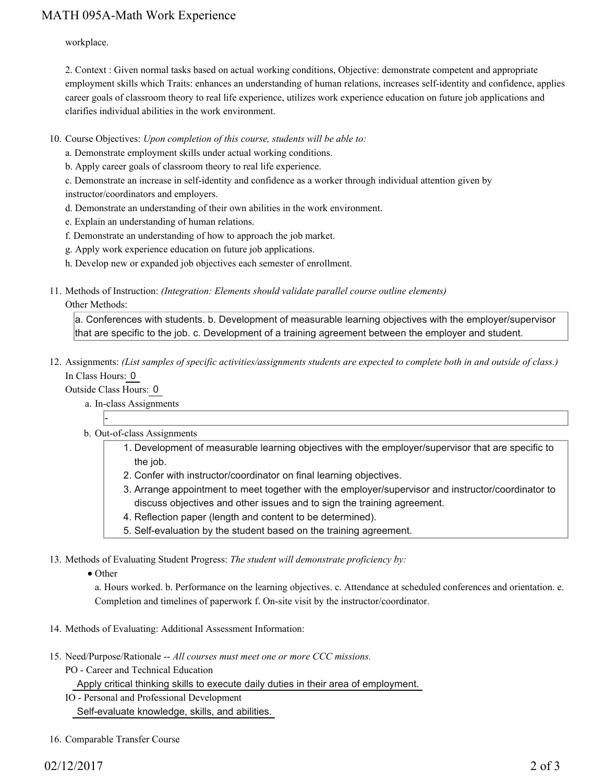### MATH 095A-Math Work Experience

workplace.

2. Context : Given normal tasks based on actual working conditions, Objective: demonstrate competent and appropriate employment skills which Traits: enhances an understanding of human relations, increases self-identity and confidence, applies career goals of classroom theory to real life experience, utilizes work experience education on future job applications and clarifies individual abilities in the work environment.

- 10. Course Objectives: Upon completion of this course, students will be able to:
	- a. Demonstrate employment skills under actual working conditions.
	- b. Apply career goals of classroom theory to real life experience.
	- c. Demonstrate an increase in self-identity and confidence as a worker through individual attention given by
	- instructor/coordinators and employers.
	- d. Demonstrate an understanding of their own abilities in the work environment.
	- e. Explain an understanding of human relations.
	- f. Demonstrate an understanding of how to approach the job market.
	- g. Apply work experience education on future job applications.
	- h. Develop new or expanded job objectives each semester of enrollment.
- 11. Methods of Instruction: *(Integration: Elements should validate parallel course outline elements)*

#### Other Methods:

a. Conferences with students. b. Development of measurable learning objectives with the employer/supervisor that are specific to the job. c. Development of a training agreement between the employer and student.

12. Assignments: (List samples of specific activities/assignments students are expected to complete both in and outside of class.) In Class Hours: 0

Outside Class Hours: 0

-

a. In-class Assignments

- b. Out-of-class Assignments
	- 1. Development of measurable learning objectives with the employer/supervisor that are specific to the job.
	- 2. Confer with instructor/coordinator on final learning objectives.
	- Arrange appointment to meet together with the employer/supervisor and instructor/coordinator to 3. discuss objectives and other issues and to sign the training agreement.
	- 4. Reflection paper (length and content to be determined).
	- 5. Self-evaluation by the student based on the training agreement.

13. Methods of Evaluating Student Progress: The student will demonstrate proficiency by:

• Other

a. Hours worked. b. Performance on the learning objectives. c. Attendance at scheduled conferences and orientation. e. Completion and timelines of paperwork f. On-site visit by the instructor/coordinator.

- 14. Methods of Evaluating: Additional Assessment Information:
- 15. Need/Purpose/Rationale -- All courses must meet one or more CCC missions.
	- PO Career and Technical Education

Apply critical thinking skills to execute daily duties in their area of employment.

- IO Personal and Professional Development Self-evaluate knowledge, skills, and abilities.
- 16. Comparable Transfer Course